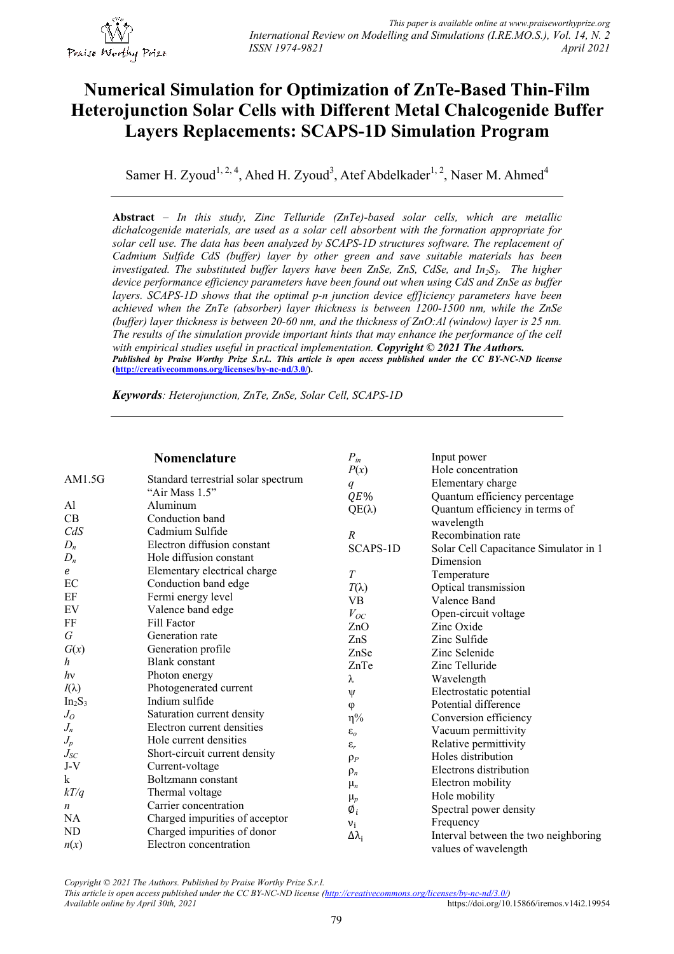# **Numerical Simulation for Optimization of ZnTe-Based Thin-Film Heterojunction Solar Cells with Different Metal Chalcogenide Buffer Layers Replacements: SCAPS-1D Simulation Program**

Samer H. Zyoud<sup>1, 2, 4</sup>, Ahed H. Zyoud<sup>3</sup>, Atef Abdelkader<sup>1, 2</sup>, Naser M. Ahmed<sup>4</sup>

**Abstract** – *In this study, Zinc Telluride (ZnTe)-based solar cells, which are metallic dichalcogenide materials, are used as a solar cell absorbent with the formation appropriate for solar cell use. The data has been analyzed by SCAPS-1D structures software. The replacement of Cadmium Sulfide CdS (buffer) layer by other green and save suitable materials has been investigated. The substituted buffer layers have been ZnSe, ZnS, CdSe, and In2S3. The higher device performance efficiency parameters have been found out when using CdS and ZnSe as buffer layers. SCAPS-1D shows that the optimal p-n junction device eff]iciency parameters have been achieved when the ZnTe (absorber) layer thickness is between 1200-1500 nm, while the ZnSe (buffer) layer thickness is between 20-60 nm, and the thickness of ZnO:Al (window) layer is 25 nm. The results of the simulation provide important hints that may enhance the performance of the cell with empirical studies useful in practical implementation. Copyright © 2021 The Authors. Published by Praise Worthy Prize S.r.l.. This article is open access published under the CC BY-NC-ND license* **([http://creativecommons.org/licenses/by-nc-nd/3.0/\).](http://creativecommons.org/licenses/by-nc-nd/3.0/).)**

*Keywords: Heterojunction, ZnTe, ZnSe, Solar Cell, SCAPS-1D* 

|                                | Nomenclature                        | $P_{in}$        | Input power                           |
|--------------------------------|-------------------------------------|-----------------|---------------------------------------|
|                                |                                     | P(x)            | Hole concentration                    |
| AM1.5G                         | Standard terrestrial solar spectrum | q               | Elementary charge                     |
|                                | "Air Mass 1.5"                      | QE%             | Quantum efficiency percentage         |
| Al                             | Aluminum                            | $QE(\lambda)$   | Quantum efficiency in terms of        |
| CB                             | Conduction band                     |                 | wavelength                            |
| CdS                            | Cadmium Sulfide                     | $\overline{R}$  | Recombination rate                    |
| $D_n$                          | Electron diffusion constant         | <b>SCAPS-1D</b> | Solar Cell Capacitance Simulator in 1 |
| $D_n$                          | Hole diffusion constant             |                 | Dimension                             |
| е                              | Elementary electrical charge        | T               | Temperature                           |
| EC                             | Conduction band edge                | $T(\lambda)$    | Optical transmission                  |
| EF                             | Fermi energy level                  | <b>VB</b>       | Valence Band                          |
| EV                             | Valence band edge                   | $V_{OC}$        | Open-circuit voltage                  |
| FF                             | Fill Factor                         | ZnO             | Zinc Oxide                            |
| G                              | Generation rate                     | ZnS             | Zinc Sulfide                          |
| G(x)                           | Generation profile                  | ZnSe            | Zinc Selenide                         |
| h                              | <b>Blank</b> constant               | ZnTe            | Zinc Telluride                        |
| hv                             | Photon energy                       | λ               | Wavelength                            |
| $I(\lambda)$                   | Photogenerated current              | Ψ               | Electrostatic potential               |
| In <sub>2</sub> S <sub>3</sub> | Indium sulfide                      | $\varphi$       | Potential difference                  |
| $J_{O}$                        | Saturation current density          | $\eta\%$        | Conversion efficiency                 |
| $J_n$                          | Electron current densities          | $\varepsilon_o$ | Vacuum permittivity                   |
| $J_p$                          | Hole current densities              | $\varepsilon_r$ | Relative permittivity                 |
| $J_{SC}$                       | Short-circuit current density       | $\rho_P$        | Holes distribution                    |
| $J-V$                          | Current-voltage                     | $\rho_n$        | Electrons distribution                |
| k                              | Boltzmann constant                  | $\mu_n$         | Electron mobility                     |
| kT/q                           | Thermal voltage                     | $\mu_p$         | Hole mobility                         |
| n                              | Carrier concentration               | $\emptyset_i$   | Spectral power density                |
| NA                             | Charged impurities of acceptor      | $v_i$           | Frequency                             |
| ND                             | Charged impurities of donor         | $Δλ_i$          | Interval between the two neighboring  |
| n(x)                           | Electron concentration              |                 | values of wavelength                  |

*Copyright © 2021 The Authors. Published by Praise Worthy Prize S.r.l.* 

*This article is open access published under the CC BY-NC-ND license ([http://creativecommons.org/licenses/by-nc-nd/3.0/\)](http://creativecommons.org/licenses/by-nc-nd/3.0/))  Available online by April 30th, 2021* <https://doi.org/10.15866/iremos.v14i2.19954>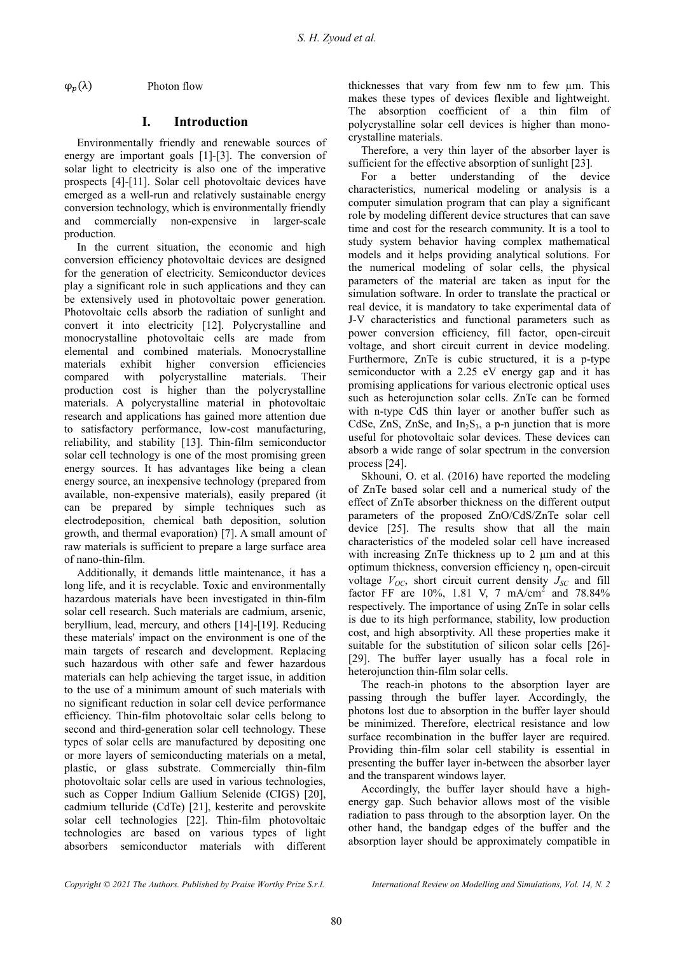$\varphi_p(\lambda)$  Photon flow

# **I. Introduction**

Environmentally friendly and renewable sources of energy are important goals [1]-[3]. The conversion of solar light to electricity is also one of the imperative prospects [4]-[11]. Solar cell photovoltaic devices have emerged as a well-run and relatively sustainable energy conversion technology, which is environmentally friendly and commercially non-expensive in larger-scale production.

In the current situation, the economic and high conversion efficiency photovoltaic devices are designed for the generation of electricity. Semiconductor devices play a significant role in such applications and they can be extensively used in photovoltaic power generation. Photovoltaic cells absorb the radiation of sunlight and convert it into electricity [12]. Polycrystalline and monocrystalline photovoltaic cells are made from elemental and combined materials. Monocrystalline materials exhibit higher conversion efficiencies compared with polycrystalline materials. Their production cost is higher than the polycrystalline materials. A polycrystalline material in photovoltaic research and applications has gained more attention due to satisfactory performance, low-cost manufacturing, reliability, and stability [13]. Thin-film semiconductor solar cell technology is one of the most promising green energy sources. It has advantages like being a clean energy source, an inexpensive technology (prepared from available, non-expensive materials), easily prepared (it can be prepared by simple techniques such as electrodeposition, chemical bath deposition, solution growth, and thermal evaporation) [7]. A small amount of raw materials is sufficient to prepare a large surface area of nano-thin-film.

Additionally, it demands little maintenance, it has a long life, and it is recyclable. Toxic and environmentally hazardous materials have been investigated in thin-film solar cell research. Such materials are cadmium, arsenic, beryllium, lead, mercury, and others [14]-[19]. Reducing these materials' impact on the environment is one of the main targets of research and development. Replacing such hazardous with other safe and fewer hazardous materials can help achieving the target issue, in addition to the use of a minimum amount of such materials with no significant reduction in solar cell device performance efficiency. Thin-film photovoltaic solar cells belong to second and third-generation solar cell technology. These types of solar cells are manufactured by depositing one or more layers of semiconducting materials on a metal, plastic, or glass substrate. Commercially thin-film photovoltaic solar cells are used in various technologies, such as Copper Indium Gallium Selenide (CIGS) [20], cadmium telluride (CdTe) [21], kesterite and perovskite solar cell technologies [22]. Thin-film photovoltaic technologies are based on various types of light absorbers semiconductor materials with different

thicknesses that vary from few nm to few µm. This makes these types of devices flexible and lightweight. The absorption coefficient of a thin film of polycrystalline solar cell devices is higher than monocrystalline materials.

Therefore, a very thin layer of the absorber layer is sufficient for the effective absorption of sunlight [23].

For a better understanding of the device characteristics, numerical modeling or analysis is a computer simulation program that can play a significant role by modeling different device structures that can save time and cost for the research community. It is a tool to study system behavior having complex mathematical models and it helps providing analytical solutions. For the numerical modeling of solar cells, the physical parameters of the material are taken as input for the simulation software. In order to translate the practical or real device, it is mandatory to take experimental data of J-V characteristics and functional parameters such as power conversion efficiency, fill factor, open-circuit voltage, and short circuit current in device modeling. Furthermore, ZnTe is cubic structured, it is a p-type semiconductor with a 2.25 eV energy gap and it has promising applications for various electronic optical uses such as heterojunction solar cells. ZnTe can be formed with n-type CdS thin layer or another buffer such as CdSe, ZnS, ZnSe, and  $In<sub>2</sub>S<sub>3</sub>$ , a p-n junction that is more useful for photovoltaic solar devices. These devices can absorb a wide range of solar spectrum in the conversion process [24].

Skhouni, O. et al. (2016) have reported the modeling of ZnTe based solar cell and a numerical study of the effect of ZnTe absorber thickness on the different output parameters of the proposed ZnO/CdS/ZnTe solar cell device [25]. The results show that all the main characteristics of the modeled solar cell have increased with increasing ZnTe thickness up to 2 μm and at this optimum thickness, conversion efficiency η, open-circuit voltage  $V_{OC}$ , short circuit current density  $J_{SC}$  and fill factor FF are 10%, 1.81 V, 7 mA/cm<sup>2</sup> and 78.84% respectively. The importance of using ZnTe in solar cells is due to its high performance, stability, low production cost, and high absorptivity. All these properties make it suitable for the substitution of silicon solar cells [26]- [29]. The buffer layer usually has a focal role in heterojunction thin-film solar cells.

The reach-in photons to the absorption layer are passing through the buffer layer. Accordingly, the photons lost due to absorption in the buffer layer should be minimized. Therefore, electrical resistance and low surface recombination in the buffer layer are required. Providing thin-film solar cell stability is essential in presenting the buffer layer in-between the absorber layer and the transparent windows layer.

Accordingly, the buffer layer should have a highenergy gap. Such behavior allows most of the visible radiation to pass through to the absorption layer. On the other hand, the bandgap edges of the buffer and the absorption layer should be approximately compatible in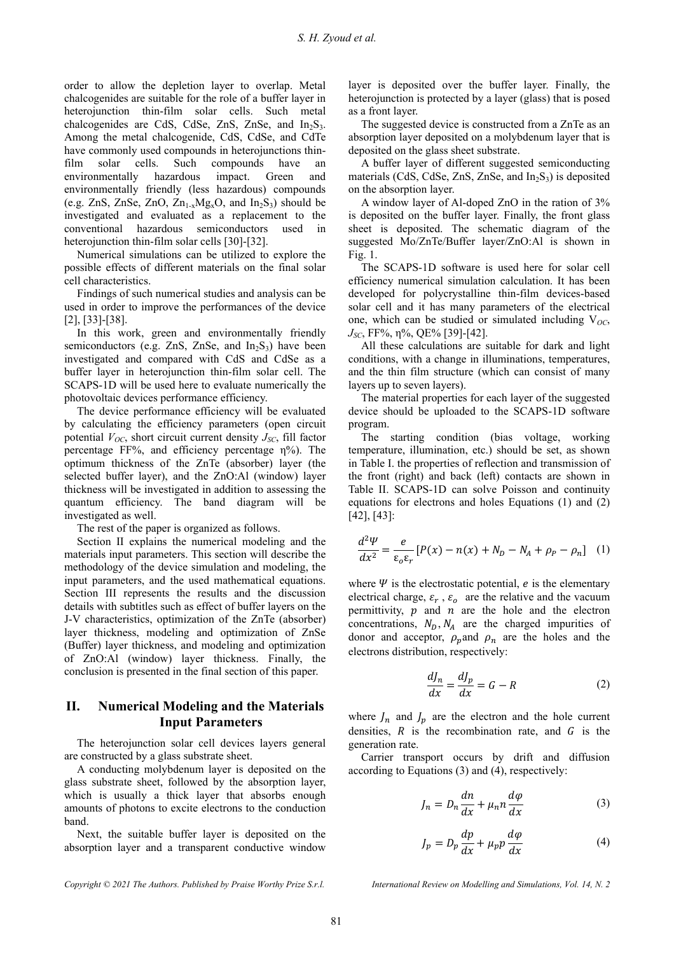order to allow the depletion layer to overlap. Metal chalcogenides are suitable for the role of a buffer layer in heterojunction thin-film solar cells. Such metal chalcogenides are CdS, CdSe, ZnS, ZnSe, and  $In<sub>2</sub>S<sub>3</sub>$ . Among the metal chalcogenide, CdS, CdSe, and CdTe have commonly used compounds in heterojunctions thinfilm solar cells. Such compounds have an environmentally hazardous impact. Green and environmentally friendly (less hazardous) compounds (e.g. ZnS, ZnSe, ZnO,  $Zn_{1-x}Mg_xO$ , and  $In_2S_3$ ) should be investigated and evaluated as a replacement to the conventional hazardous semiconductors used in heterojunction thin-film solar cells [30]-[32].

Numerical simulations can be utilized to explore the possible effects of different materials on the final solar cell characteristics.

Findings of such numerical studies and analysis can be used in order to improve the performances of the device [2], [33]-[38].

In this work, green and environmentally friendly semiconductors (e.g. ZnS, ZnSe, and  $In<sub>2</sub>S<sub>3</sub>$ ) have been investigated and compared with CdS and CdSe as a buffer layer in heterojunction thin-film solar cell. The SCAPS-1D will be used here to evaluate numerically the photovoltaic devices performance efficiency.

The device performance efficiency will be evaluated by calculating the efficiency parameters (open circuit potential  $V_{OC}$ , short circuit current density  $J_{SC}$ , fill factor percentage FF%, and efficiency percentage η%). The optimum thickness of the ZnTe (absorber) layer (the selected buffer layer), and the ZnO:Al (window) layer thickness will be investigated in addition to assessing the quantum efficiency. The band diagram will be investigated as well.

The rest of the paper is organized as follows.

Section II explains the numerical modeling and the materials input parameters. This section will describe the methodology of the device simulation and modeling, the input parameters, and the used mathematical equations. Section III represents the results and the discussion details with subtitles such as effect of buffer layers on the J-V characteristics, optimization of the ZnTe (absorber) layer thickness, modeling and optimization of ZnSe (Buffer) layer thickness, and modeling and optimization of ZnO:Al (window) layer thickness. Finally, the conclusion is presented in the final section of this paper.

# **II. Numerical Modeling and the Materials Input Parameters**

The heterojunction solar cell devices layers general are constructed by a glass substrate sheet.

A conducting molybdenum layer is deposited on the glass substrate sheet, followed by the absorption layer, which is usually a thick layer that absorbs enough amounts of photons to excite electrons to the conduction band.

Next, the suitable buffer layer is deposited on the absorption layer and a transparent conductive window layer is deposited over the buffer layer. Finally, the heterojunction is protected by a layer (glass) that is posed as a front layer.

The suggested device is constructed from a ZnTe as an absorption layer deposited on a molybdenum layer that is deposited on the glass sheet substrate.

A buffer layer of different suggested semiconducting materials (CdS, CdSe, ZnS, ZnSe, and  $In<sub>2</sub>S<sub>3</sub>$ ) is deposited on the absorption layer.

A window layer of Al-doped ZnO in the ration of 3% is deposited on the buffer layer. Finally, the front glass sheet is deposited. The schematic diagram of the suggested Mo/ZnTe/Buffer layer/ZnO:Al is shown in Fig. 1.

The SCAPS-1D software is used here for solar cell efficiency numerical simulation calculation. It has been developed for polycrystalline thin-film devices-based solar cell and it has many parameters of the electrical one, which can be studied or simulated including  $V_{OC}$ , *JSC*, FF%, η%, QE% [39]-[42].

All these calculations are suitable for dark and light conditions, with a change in illuminations, temperatures, and the thin film structure (which can consist of many layers up to seven layers).

The material properties for each layer of the suggested device should be uploaded to the SCAPS-1D software program.

The starting condition (bias voltage, working temperature, illumination, etc.) should be set, as shown in Table I. the properties of reflection and transmission of the front (right) and back (left) contacts are shown in Table II. SCAPS-1D can solve Poisson and continuity equations for electrons and holes Equations (1) and (2) [42], [43]:

$$
\frac{d^2\Psi}{dx^2} = \frac{e}{\varepsilon_0 \varepsilon_r} \left[ P(x) - n(x) + N_D - N_A + \rho_P - \rho_n \right] \tag{1}
$$

where  $\Psi$  is the electrostatic potential,  $e$  is the elementary electrical charge,  $\varepsilon_r$ ,  $\varepsilon_o$  are the relative and the vacuum permittivity,  $p$  and  $n$  are the hole and the electron concentrations,  $N_D$ ,  $N_A$  are the charged impurities of donor and acceptor,  $\rho_p$ and  $\rho_n$  are the holes and the electrons distribution, respectively:

$$
\frac{dJ_n}{dx} = \frac{dJ_p}{dx} = G - R
$$
 (2)

where  $J_n$  and  $J_p$  are the electron and the hole current densities.  $\overline{R}$  is the recombination rate, and  $\overline{G}$  is the generation rate.

Carrier transport occurs by drift and diffusion according to Equations (3) and (4), respectively:

$$
J_n = D_n \frac{dn}{dx} + \mu_n n \frac{d\varphi}{dx}
$$
 (3)

$$
J_p = D_p \frac{dp}{dx} + \mu_p p \frac{d\varphi}{dx}
$$
 (4)

*Copyright © 2021 The Authors. Published by Praise Worthy Prize S.r.l. International Review on Modelling and Simulations, Vol. 14, N. 2*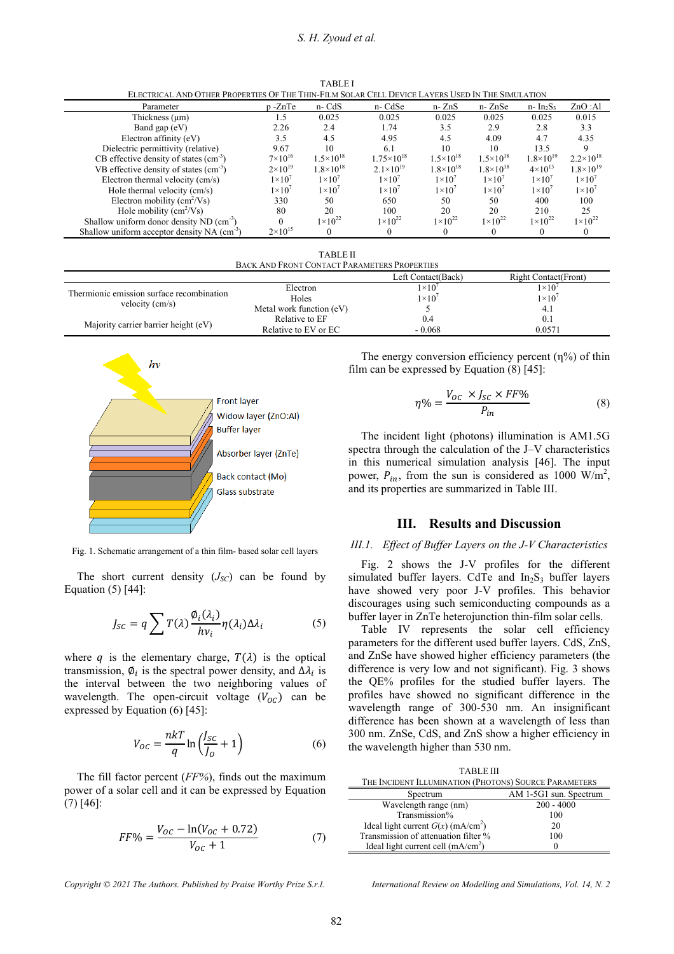#### *S. H. Zyoud et al.*

TABLE I

| ELECTRICAL AND OTHER PROPERTIES OF THE THIN-FILM SOLAR CELL DEVICE LAYERS USED IN THE SIMULATION |                    |                      |                       |                      |                      |                    |                    |
|--------------------------------------------------------------------------------------------------|--------------------|----------------------|-----------------------|----------------------|----------------------|--------------------|--------------------|
| Parameter                                                                                        | $p$ -ZnTe          | n-CdS                | n- CdSe               | $n-ZnS$              | n-ZnSe               | $n - In2S3$        | ZnO:Al             |
| Thickness (um)                                                                                   |                    | 0.025                | 0.025                 | 0.025                | 0.025                | 0.025              | 0.015              |
| Band gap $(eV)$                                                                                  | 2.26               | 2.4                  | 1.74                  | 3.5                  | 2.9                  | 2.8                | 3.3                |
| Electron affinity (eV)                                                                           | 3.5                | 4.5                  | 4.95                  | 4.5                  | 4.09                 | 4.7                | 4.35               |
| Dielectric permittivity (relative)                                                               | 9.67               | 10                   | 6.1                   | 10                   | 10                   | 13.5               |                    |
| CB effective density of states $\text{(cm}^{-3})$                                                | $7 \times 10^{16}$ | $1.5 \times 10^{18}$ | $1.75 \times 10^{18}$ | $1.5 \times 10^{18}$ | $1.5 \times 10^{18}$ | $1.8\times10^{19}$ | $2.2\times10^{18}$ |
| VB effective density of states $\text{cm}^{-3}$ )                                                | $2 \times 10^{19}$ | $1.8\times10^{18}$   | $2.1 \times 10^{19}$  | $1.8\times10^{18}$   | $1.8\times10^{18}$   | $4 \times 10^{13}$ | $1.8\times10^{19}$ |
| Electron thermal velocity (cm/s)                                                                 | $1\times10^7$      | $1\times10^{7}$      | $1\times10^7$         | $1\times10^{7}$      | $1\times10^{7}$      | $1\times10^{7}$    | $1\times10^{7}$    |
| Hole thermal velocity (cm/s)                                                                     | $1\times10^7$      | $1\times10^7$        | $1\times10^{7}$       | $1\times10^{7}$      | $1\times10^{7}$      | $1\times10^{7}$    | $1\times10^7$      |
| Electron mobility $\text{(cm}^2/\text{Vs)}$                                                      | 330                | 50                   | 650                   | 50                   | 50                   | 400                | 100                |
| Hole mobility $\text{cm}^2/\text{Vs}$ )                                                          | 80                 | 20                   | 100                   | 20                   | 20                   | 210                | 25                 |
| Shallow uniform donor density ND $(cm-3)$                                                        |                    | $1 \times 10^{22}$   | $1 \times 10^{22}$    | $1 \times 10^{22}$   | $1 \times 10^{22}$   | $1 \times 10^{22}$ | $1 \times 10^{22}$ |
| Shallow uniform acceptor density NA (cm <sup>-3</sup> )                                          | $2 \times 10^{15}$ |                      |                       |                      |                      |                    |                    |

TABLE II BACK AND FRONT CONTACT PARAMETERS PROPERTIES

|                                           |                          | Left Contact(Back) | <b>Right Contact</b> (Front) |
|-------------------------------------------|--------------------------|--------------------|------------------------------|
| Thermionic emission surface recombination | Electron                 | $1\times10'$       | $1\times10'$                 |
| velocity $\text{(cm/s)}$                  | Holes                    | $1\times10^7$      | $1\times10^7$                |
|                                           | Metal work function (eV) |                    | -4. i                        |
| Majority carrier barrier height (eV)      | Relative to EF           | 0.4                | 0.1                          |
|                                           | Relative to EV or EC     | $-0.068$           | 0.0571                       |



Fig. 1. Schematic arrangement of a thin film- based solar cell layers

The short current density  $(J<sub>SC</sub>)$  can be found by Equation (5) [44]:

$$
J_{SC} = q \sum T(\lambda) \frac{\phi_i(\lambda_i)}{h v_i} \eta(\lambda_i) \Delta \lambda_i \tag{5}
$$

where q is the elementary charge,  $T(\lambda)$  is the optical transmission,  $\varnothing_i$  is the spectral power density, and  $\Delta \lambda_i$  is the interval between the two neighboring values of wavelength. The open-circuit voltage  $(V_{OC})$  can be expressed by Equation (6) [45]:

$$
V_{OC} = \frac{n k T}{q} \ln \left( \frac{J_{SC}}{J_O} + 1 \right) \tag{6}
$$

The fill factor percent (*FF%*), finds out the maximum power of a solar cell and it can be expressed by Equation (7) [46]:

$$
FF\% = \frac{V_{OC} - \ln(V_{OC} + 0.72)}{V_{OC} + 1}
$$
 (7)

*Copyright © 2021 The Authors. Published by Praise Worthy Prize S.r.l. International Review on Modelling and Simulations, Vol. 14, N. 2*

The energy conversion efficiency percent  $(\eta\%)$  of thin film can be expressed by Equation (8) [45]:

$$
\eta\% = \frac{V_{OC} \times J_{SC} \times FF\%}{P_{in}} \tag{8}
$$

The incident light (photons) illumination is AM1.5G spectra through the calculation of the J–V characteristics in this numerical simulation analysis [46]. The input power,  $P_{in}$ , from the sun is considered as 1000 W/m<sup>2</sup>, and its properties are summarized in Table III.

# **III. Results and Discussion**

#### *III.1. Effect of Buffer Layers on the J-V Characteristics*

Fig. 2 shows the J-V profiles for the different simulated buffer layers. CdTe and  $In<sub>2</sub>S<sub>3</sub>$  buffer layers have showed very poor J-V profiles. This behavior discourages using such semiconducting compounds as a buffer layer in ZnTe heterojunction thin-film solar cells.

Table IV represents the solar cell efficiency parameters for the different used buffer layers. CdS, ZnS, and ZnSe have showed higher efficiency parameters (the difference is very low and not significant). Fig. 3 shows the QE% profiles for the studied buffer layers. The profiles have showed no significant difference in the wavelength range of 300-530 nm. An insignificant difference has been shown at a wavelength of less than 300 nm. ZnSe, CdS, and ZnS show a higher efficiency in the wavelength higher than 530 nm.

| <b>TABLE III</b>                                      |              |  |  |  |  |
|-------------------------------------------------------|--------------|--|--|--|--|
| THE INCIDENT ILLUMINATION (PHOTONS) SOURCE PARAMETERS |              |  |  |  |  |
| AM 1-5G1 sun. Spectrum<br>Spectrum                    |              |  |  |  |  |
| Wavelength range (nm)                                 | $200 - 4000$ |  |  |  |  |
| Transmission%                                         | 100          |  |  |  |  |
| Ideal light current $G(x)$ (mA/cm <sup>2</sup> )      | 20           |  |  |  |  |
| Transmission of attenuation filter %                  | 100          |  |  |  |  |

Ideal light current cell (mA/cm<sup>2</sup>)

) 0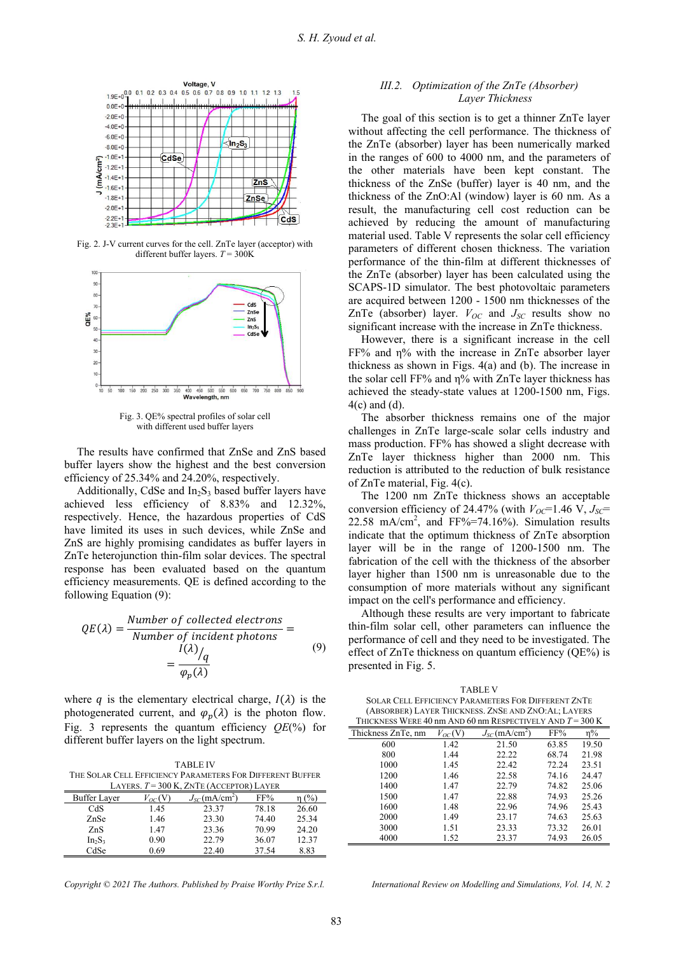

Fig. 2. J-V current curves for the cell. ZnTe layer (acceptor) with different buffer layers. *T* = 300K



Fig. 3. QE% spectral profiles of solar cell with different used buffer layers

The results have confirmed that ZnSe and ZnS based buffer layers show the highest and the best conversion efficiency of 25.34% and 24.20%, respectively.

Additionally, CdSe and  $In<sub>2</sub>S<sub>3</sub>$  based buffer layers have achieved less efficiency of 8.83% and 12.32%, respectively. Hence, the hazardous properties of CdS have limited its uses in such devices, while ZnSe and ZnS are highly promising candidates as buffer layers in ZnTe heterojunction thin-film solar devices. The spectral response has been evaluated based on the quantum efficiency measurements. QE is defined according to the following Equation (9):

$$
QE(\lambda) = \frac{Number\ of\ collected\ electrons}{Number\ of\ incident\ photons} = \frac{I(\lambda)}{I(\lambda)} = \frac{I(\lambda)}{\varphi_p(\lambda)} \tag{9}
$$

where q is the elementary electrical charge,  $I(\lambda)$  is the photogenerated current, and  $\varphi_n(\lambda)$  is the photon flow. Fig. 3 represents the quantum efficiency *QE*(%) for different buffer layers on the light spectrum.

TABLE IV THE SOLAR CELL EFFICIENCY PARAMETERS FOR DIFFERENT BUFFER LAYERS. *T* = 300 K, ZNTE (ACCEPTOR) LAYER

| LAILW.I<br>200 R. ERIL RICCEI IONI EATER |             |                                |       |       |  |  |
|------------------------------------------|-------------|--------------------------------|-------|-------|--|--|
| <b>Buffer Laver</b>                      | $V_{OC}$ (V | $J_{SC}$ (mA/cm <sup>2</sup> ) | FF%   | n (%) |  |  |
| CdS                                      | 1.45        | 23.37                          | 78.18 | 26.60 |  |  |
| ZnSe                                     | 1.46        | 23.30                          | 74.40 | 25.34 |  |  |
| ZnS                                      | 1.47        | 23.36                          | 70.99 | 24.20 |  |  |
| $In_2S_3$                                | 0.90        | 22.79                          | 36.07 | 12.37 |  |  |
| CdSe                                     | 0.69        | 22.40                          | 37.54 | 8.83  |  |  |

*Copyright © 2021 The Authors. Published by Praise Worthy Prize S.r.l. International Review on Modelling and Simulations, Vol. 14, N. 2*

#### *III.2. Optimization of the ZnTe (Absorber) Layer Thickness*

The goal of this section is to get a thinner ZnTe layer without affecting the cell performance. The thickness of the ZnTe (absorber) layer has been numerically marked in the ranges of 600 to 4000 nm, and the parameters of the other materials have been kept constant. The thickness of the ZnSe (buffer) layer is 40 nm, and the thickness of the ZnO:Al (window) layer is 60 nm. As a result, the manufacturing cell cost reduction can be achieved by reducing the amount of manufacturing material used. Table V represents the solar cell efficiency parameters of different chosen thickness. The variation performance of the thin-film at different thicknesses of the ZnTe (absorber) layer has been calculated using the SCAPS-1D simulator. The best photovoltaic parameters are acquired between 1200 - 1500 nm thicknesses of the ZnTe (absorber) layer.  $V_{OC}$  and  $J_{SC}$  results show no significant increase with the increase in ZnTe thickness.

However, there is a significant increase in the cell FF% and η% with the increase in ZnTe absorber layer thickness as shown in Figs. 4(a) and (b). The increase in the solar cell FF% and  $\eta$ % with ZnTe layer thickness has achieved the steady-state values at 1200-1500 nm, Figs. 4(c) and (d).

The absorber thickness remains one of the major challenges in ZnTe large-scale solar cells industry and mass production. FF% has showed a slight decrease with ZnTe layer thickness higher than 2000 nm. This reduction is attributed to the reduction of bulk resistance of ZnTe material, Fig. 4(c).

The 1200 nm ZnTe thickness shows an acceptable conversion efficiency of 24.47% (with  $V_{OC}$ =1.46 V,  $J_{SC}$ = 22.58 mA/cm<sup>2</sup>, and FF%=74.16%). Simulation results indicate that the optimum thickness of ZnTe absorption layer will be in the range of 1200-1500 nm. The fabrication of the cell with the thickness of the absorber layer higher than 1500 nm is unreasonable due to the consumption of more materials without any significant impact on the cell's performance and efficiency.

Although these results are very important to fabricate thin-film solar cell, other parameters can influence the performance of cell and they need to be investigated. The effect of ZnTe thickness on quantum efficiency (QE%) is presented in Fig. 5.

| <b>TABLE V</b>                                              |             |                                                            |       |          |  |  |
|-------------------------------------------------------------|-------------|------------------------------------------------------------|-------|----------|--|--|
|                                                             |             | <b>SOLAR CELL EFFICIENCY PARAMETERS FOR DIFFERENT ZNTE</b> |       |          |  |  |
|                                                             |             | (ABSORBER) LAYER THICKNESS. ZNSE AND ZNO:AL; LAYERS        |       |          |  |  |
| THICKNESS WERE 40 nm AND 60 nm RESPECTIVELY AND $T = 300$ K |             |                                                            |       |          |  |  |
| Thickness ZnTe, nm                                          | $V_{OC}(V)$ | $J_{SC}$ (mA/cm <sup>2</sup>                               | FF%   | $\eta\%$ |  |  |
| 600                                                         | 1.42        | 21.50                                                      | 63.85 | 19.50    |  |  |
| 800                                                         | 1.44        | 22.22                                                      | 68.74 | 21.98    |  |  |
| 1000                                                        | 1.45        | 22.42                                                      | 72.24 | 23.51    |  |  |
| 1200                                                        | 1.46        | 22.58                                                      | 74.16 | 24.47    |  |  |
| 1400                                                        | 1.47        | 22.79                                                      | 74.82 | 25.06    |  |  |
| 1500                                                        | 1.47        | 22.88                                                      | 74.93 | 25.26    |  |  |
| 1600                                                        | 1.48        | 22.96                                                      | 74.96 | 25.43    |  |  |
| 2000                                                        | 1.49        | 23.17                                                      | 74.63 | 25.63    |  |  |
| 3000                                                        | 1.51        | 23.33                                                      | 73.32 | 26.01    |  |  |
| 4000                                                        | 1.52        | 23.37                                                      | 74.93 | 26.05    |  |  |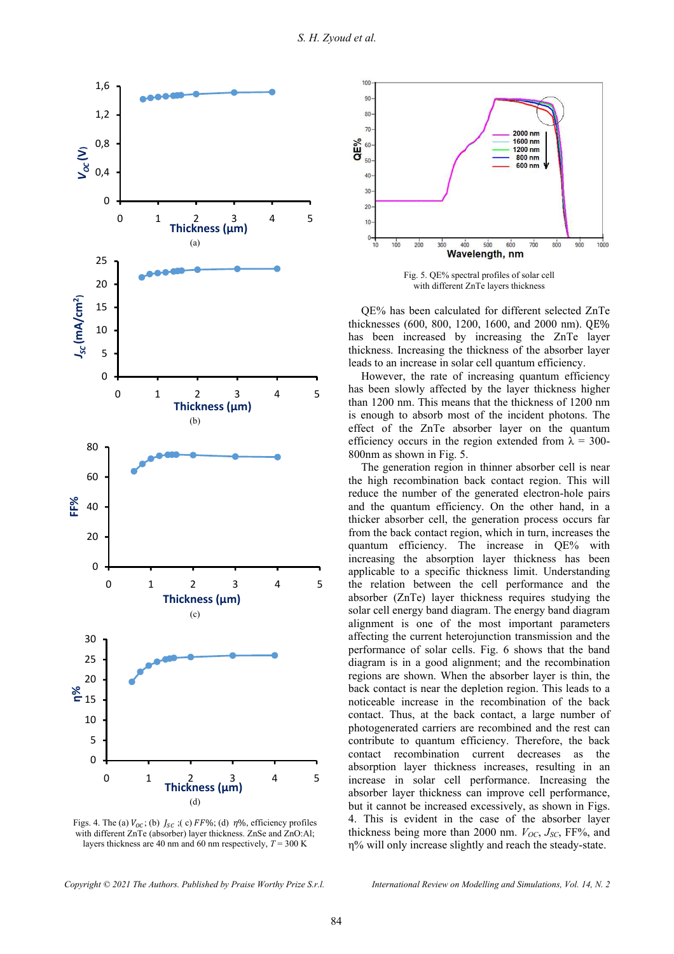

Figs. 4. The (a)  $V_{OC}$ ; (b)  $J_{SC}$ ; (c)  $FF\%$ ; (d)  $\eta\%$ , efficiency profiles with different ZnTe (absorber) layer thickness. ZnSe and ZnO:Al; layers thickness are 40 nm and 60 nm respectively,  $T = 300$  K



Fig. 5. QE% spectral profiles of solar cell with different ZnTe layers thickness

QE% has been calculated for different selected ZnTe thicknesses (600, 800, 1200, 1600, and 2000 nm). QE% has been increased by increasing the ZnTe layer thickness. Increasing the thickness of the absorber layer leads to an increase in solar cell quantum efficiency.

However, the rate of increasing quantum efficiency has been slowly affected by the layer thickness higher than 1200 nm. This means that the thickness of 1200 nm is enough to absorb most of the incident photons. The effect of the ZnTe absorber layer on the quantum efficiency occurs in the region extended from  $\lambda = 300$ -800nm as shown in Fig. 5.

The generation region in thinner absorber cell is near the high recombination back contact region. This will reduce the number of the generated electron-hole pairs and the quantum efficiency. On the other hand, in a thicker absorber cell, the generation process occurs far from the back contact region, which in turn, increases the quantum efficiency. The increase in QE% with increasing the absorption layer thickness has been applicable to a specific thickness limit. Understanding the relation between the cell performance and the absorber (ZnTe) layer thickness requires studying the solar cell energy band diagram. The energy band diagram alignment is one of the most important parameters affecting the current heterojunction transmission and the performance of solar cells. Fig. 6 shows that the band diagram is in a good alignment; and the recombination regions are shown. When the absorber layer is thin, the back contact is near the depletion region. This leads to a noticeable increase in the recombination of the back contact. Thus, at the back contact, a large number of photogenerated carriers are recombined and the rest can contribute to quantum efficiency. Therefore, the back contact recombination current decreases as the absorption layer thickness increases, resulting in an increase in solar cell performance. Increasing the absorber layer thickness can improve cell performance, but it cannot be increased excessively, as shown in Figs. 4. This is evident in the case of the absorber layer thickness being more than 2000 nm.  $V_{OC}$ ,  $J_{SC}$ , FF%, and η% will only increase slightly and reach the steady-state.

*Copyright © 2021 The Authors. Published by Praise Worthy Prize S.r.l. International Review on Modelling and Simulations, Vol. 14, N. 2*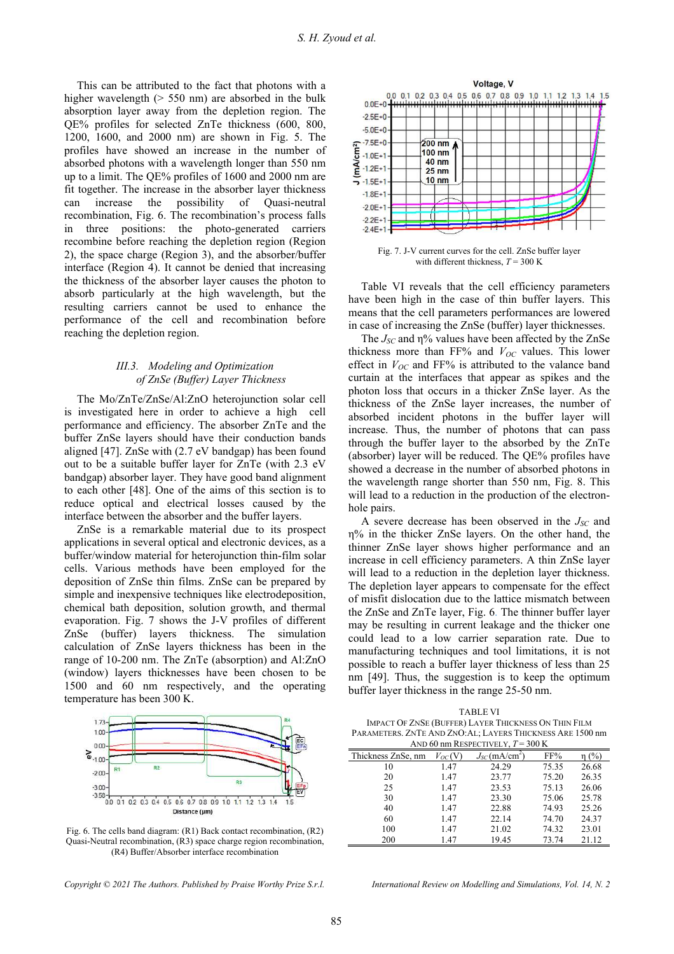This can be attributed to the fact that photons with a higher wavelength ( $> 550$  nm) are absorbed in the bulk absorption layer away from the depletion region. The QE% profiles for selected ZnTe thickness (600, 800, 1200, 1600, and 2000 nm) are shown in Fig. 5. The profiles have showed an increase in the number of absorbed photons with a wavelength longer than 550 nm up to a limit. The QE% profiles of 1600 and 2000 nm are fit together. The increase in the absorber layer thickness increase the possibility of Quasi-neutral recombination, Fig. 6. The recombination's process falls in three positions: the photo-generated carriers recombine before reaching the depletion region (Region 2), the space charge (Region 3), and the absorber/buffer interface (Region 4). It cannot be denied that increasing the thickness of the absorber layer causes the photon to absorb particularly at the high wavelength, but the resulting carriers cannot be used to enhance the performance of the cell and recombination before reaching the depletion region.

### *III.3. Modeling and Optimization of ZnSe (Buffer) Layer Thickness*

The Mo/ZnTe/ZnSe/Al:ZnO heterojunction solar cell is investigated here in order to achieve a high cell performance and efficiency. The absorber ZnTe and the buffer ZnSe layers should have their conduction bands aligned [47]. ZnSe with (2.7 eV bandgap) has been found out to be a suitable buffer layer for ZnTe (with 2.3 eV bandgap) absorber layer. They have good band alignment to each other [48]. One of the aims of this section is to reduce optical and electrical losses caused by the interface between the absorber and the buffer layers.

ZnSe is a remarkable material due to its prospect applications in several optical and electronic devices, as a buffer/window material for heterojunction thin-film solar cells. Various methods have been employed for the deposition of ZnSe thin films. ZnSe can be prepared by simple and inexpensive techniques like electrodeposition, chemical bath deposition, solution growth, and thermal evaporation. Fig. 7 shows the J-V profiles of different ZnSe (buffer) layers thickness. The simulation calculation of ZnSe layers thickness has been in the range of 10-200 nm. The ZnTe (absorption) and Al:ZnO (window) layers thicknesses have been chosen to be 1500 and 60 nm respectively, and the operating temperature has been 300 K.



Fig. 6. The cells band diagram: (R1) Back contact recombination, (R2) Quasi-Neutral recombination, (R3) space charge region recombination, (R4) Buffer/Absorber interface recombination

*Copyright © 2021 The Authors. Published by Praise Worthy Prize S.r.l. International Review on Modelling and Simulations, Vol. 14, N. 2*



Fig. 7. J-V current curves for the cell. ZnSe buffer layer with different thickness, *T* = 300 K

Table VI reveals that the cell efficiency parameters have been high in the case of thin buffer layers. This means that the cell parameters performances are lowered in case of increasing the ZnSe (buffer) layer thicknesses.

The *JSC* and η% values have been affected by the ZnSe thickness more than  $FF%$  and  $V_{OC}$  values. This lower effect in  $V_{OC}$  and FF% is attributed to the valance band curtain at the interfaces that appear as spikes and the photon loss that occurs in a thicker ZnSe layer. As the thickness of the ZnSe layer increases, the number of absorbed incident photons in the buffer layer will increase. Thus, the number of photons that can pass through the buffer layer to the absorbed by the ZnTe (absorber) layer will be reduced. The QE% profiles have showed a decrease in the number of absorbed photons in the wavelength range shorter than 550 nm, Fig. 8. This will lead to a reduction in the production of the electronhole pairs.

A severe decrease has been observed in the *JSC* and η% in the thicker ZnSe layers. On the other hand, the thinner ZnSe layer shows higher performance and an increase in cell efficiency parameters. A thin ZnSe layer will lead to a reduction in the depletion layer thickness. The depletion layer appears to compensate for the effect of misfit dislocation due to the lattice mismatch between the ZnSe and ZnTe layer, Fig. 6. The thinner buffer layer may be resulting in current leakage and the thicker one could lead to a low carrier separation rate. Due to manufacturing techniques and tool limitations, it is not possible to reach a buffer layer thickness of less than 25 nm [49]. Thus, the suggestion is to keep the optimum buffer layer thickness in the range 25-50 nm.

| TABLE VI                                                   |
|------------------------------------------------------------|
| IMPACT OF ZNSE (BUFFER) LAYER THICKNESS ON THIN FILM       |
| PARAMETERS. ZNTE AND ZNO: AL; LAYERS THICKNESS ARE 1500 nm |
| AND 60 nm RESPECTIVELY $T = 300$ K                         |

| AND 60 nm RESPECTIVELY, $T = 300$ K |              |                                |       |           |  |  |  |
|-------------------------------------|--------------|--------------------------------|-------|-----------|--|--|--|
| Thickness ZnSe, nm                  | $V_{OC}$ (V) | $J_{SC}$ (mA/cm <sup>2</sup> ) | FF%   | $\eta(%)$ |  |  |  |
| 10                                  | 1.47         | 24.29                          | 75.35 | 26.68     |  |  |  |
| 20                                  | 1.47         | 23.77                          | 75.20 | 26.35     |  |  |  |
| 25                                  | 1.47         | 23.53                          | 75.13 | 26.06     |  |  |  |
| 30                                  | 1.47         | 23.30                          | 75.06 | 25.78     |  |  |  |
| 40                                  | 1.47         | 22.88                          | 74.93 | 25.26     |  |  |  |
| 60                                  | 1.47         | 22.14                          | 74.70 | 24.37     |  |  |  |
| 100                                 | 1.47         | 21.02                          | 74.32 | 23.01     |  |  |  |
| 200                                 | 1.47         | 19.45                          | 73.74 | 21.12     |  |  |  |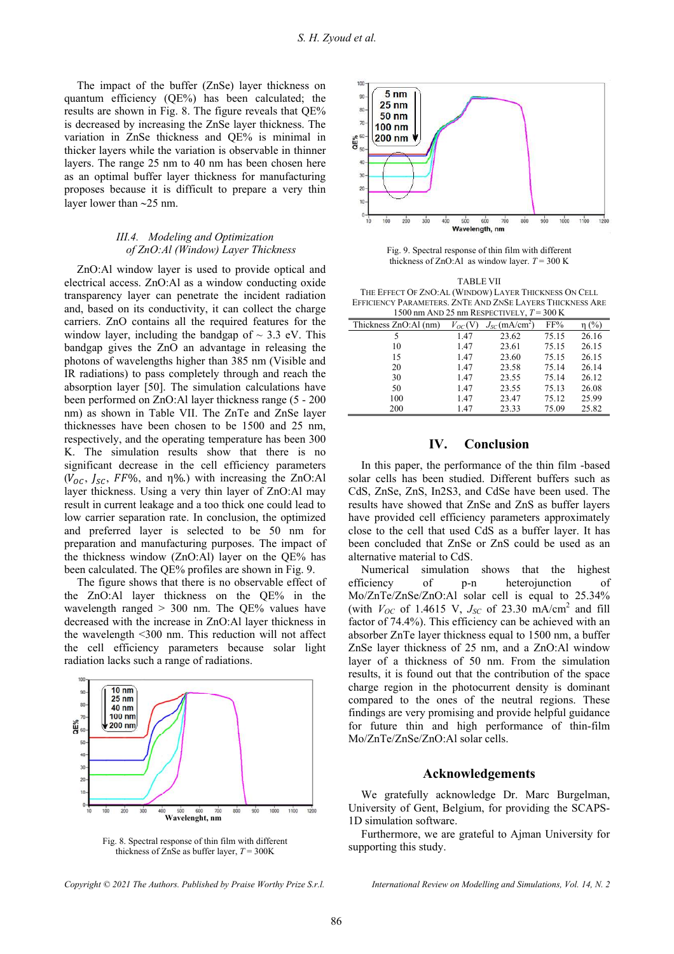The impact of the buffer (ZnSe) layer thickness on quantum efficiency (QE%) has been calculated; the results are shown in Fig. 8. The figure reveals that QE% is decreased by increasing the ZnSe layer thickness. The variation in ZnSe thickness and QE% is minimal in thicker layers while the variation is observable in thinner layers. The range 25 nm to 40 nm has been chosen here as an optimal buffer layer thickness for manufacturing proposes because it is difficult to prepare a very thin layer lower than  $\approx$  25 nm.

## *III.4. Modeling and Optimization of ZnO:Al (Window) Layer Thickness*

ZnO:Al window layer is used to provide optical and electrical access. ZnO:Al as a window conducting oxide transparency layer can penetrate the incident radiation and, based on its conductivity, it can collect the charge carriers. ZnO contains all the required features for the window layer, including the bandgap of  $\sim$  3.3 eV. This bandgap gives the ZnO an advantage in releasing the photons of wavelengths higher than 385 nm (Visible and IR radiations) to pass completely through and reach the absorption layer [50]. The simulation calculations have been performed on ZnO:Al layer thickness range (5 - 200 nm) as shown in Table VII. The ZnTe and ZnSe layer thicknesses have been chosen to be 1500 and 25 nm, respectively, and the operating temperature has been 300 K. The simulation results show that there is no significant decrease in the cell efficiency parameters ( $V_{OC}$ ,  $J_{SC}$ ,  $FF\%$ , and  $\eta\%$ .) with increasing the ZnO:Al layer thickness. Using a very thin layer of ZnO:Al may result in current leakage and a too thick one could lead to low carrier separation rate. In conclusion, the optimized and preferred layer is selected to be 50 nm for preparation and manufacturing purposes. The impact of the thickness window (ZnO:Al) layer on the QE% has been calculated. The QE% profiles are shown in Fig. 9.

The figure shows that there is no observable effect of the ZnO:Al layer thickness on the QE% in the wavelength ranged  $> 300$  nm. The QE% values have decreased with the increase in ZnO:Al layer thickness in the wavelength <300 nm. This reduction will not affect the cell efficiency parameters because solar light radiation lacks such a range of radiations.



Fig. 8. Spectral response of thin film with different thickness of ZnSe as buffer layer,  $T = 300K$ 





Fig. 9. Spectral response of thin film with different thickness of ZnO:Al as window layer.  $T = 300$  K

TABLE VII THE EFFECT OF ZNO:AL (WINDOW) LAYER THICKNESS ON CELL EFFICIENCY PARAMETERS. ZNTE AND ZNSE LAYERS THICKNESS ARE

| 1500 nm AND 25 nm RESPECTIVELY, $T = 300$ K |          |                                |       |            |  |  |  |
|---------------------------------------------|----------|--------------------------------|-------|------------|--|--|--|
| Thickness ZnO:Al (nm)                       | $V_{OC}$ | $J_{SC}$ (mA/cm <sup>2</sup> ) | FF%   | $\eta$ (%) |  |  |  |
| 5                                           | 1.47     | 23.62                          | 75.15 | 26.16      |  |  |  |
| 10                                          | 1.47     | 23.61                          | 75.15 | 26.15      |  |  |  |
| 15                                          | 1.47     | 23.60                          | 75.15 | 26.15      |  |  |  |
| 20                                          | 1.47     | 23.58                          | 75.14 | 26.14      |  |  |  |
| 30                                          | 1.47     | 23.55                          | 75.14 | 26.12      |  |  |  |
| 50                                          | 1.47     | 23.55                          | 75.13 | 26.08      |  |  |  |
| 100                                         | 1.47     | 23.47                          | 75.12 | 25.99      |  |  |  |
| 200                                         | 1.47     | 23.33                          | 75.09 | 25.82      |  |  |  |

# **IV. Conclusion**

In this paper, the performance of the thin film -based solar cells has been studied. Different buffers such as CdS, ZnSe, ZnS, In2S3, and CdSe have been used. The results have showed that ZnSe and ZnS as buffer layers have provided cell efficiency parameters approximately close to the cell that used CdS as a buffer layer. It has been concluded that ZnSe or ZnS could be used as an alternative material to CdS.

Numerical simulation shows that the highest efficiency of p-n heterojunction of Mo/ZnTe/ZnSe/ZnO:Al solar cell is equal to 25.34% (with  $V_{OC}$  of 1.4615 V,  $J_{SC}$  of 23.30 mA/cm<sup>2</sup> and fill factor of 74.4%). This efficiency can be achieved with an absorber ZnTe layer thickness equal to 1500 nm, a buffer ZnSe layer thickness of 25 nm, and a ZnO:Al window layer of a thickness of 50 nm. From the simulation results, it is found out that the contribution of the space charge region in the photocurrent density is dominant compared to the ones of the neutral regions. These findings are very promising and provide helpful guidance for future thin and high performance of thin-film Mo/ZnTe/ZnSe/ZnO:Al solar cells.

## **Acknowledgements**

We gratefully acknowledge Dr. Marc Burgelman, University of Gent, Belgium, for providing the SCAPS-1D simulation software.

Furthermore, we are grateful to Ajman University for supporting this study.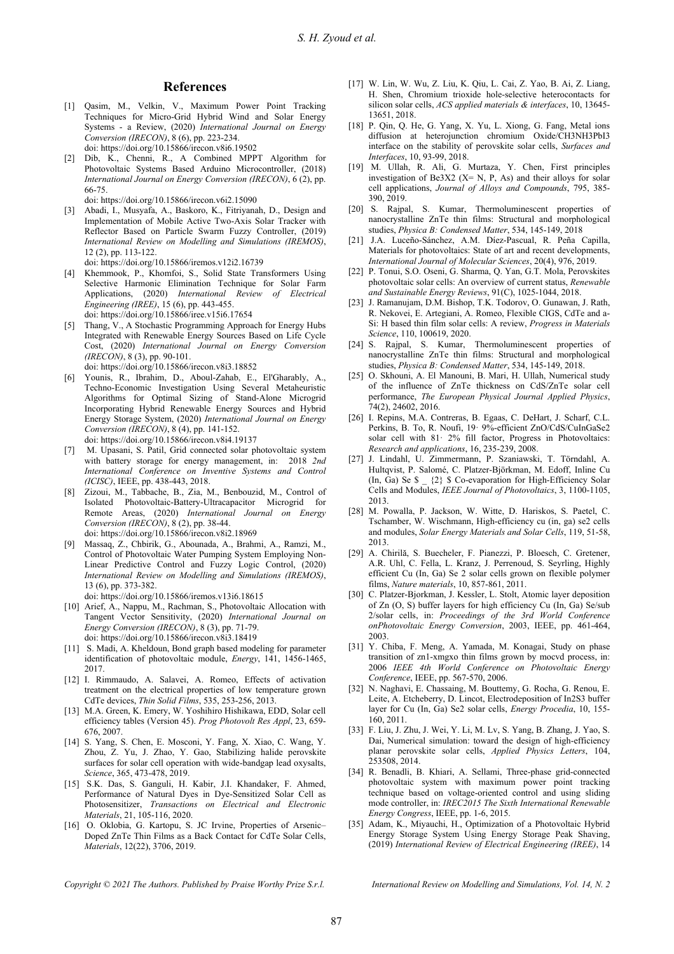#### **References**

- [1] Qasim, M., Velkin, V., Maximum Power Point Tracking Techniques for Micro-Grid Hybrid Wind and Solar Energy Systems - a Review, (2020) *International Journal on Energy Conversion (IRECON)*, 8 (6), pp. 223-234. doi:<https://doi.org/10.15866/irecon.v8i6.19502>
- [2] Dib, K., Chenni, R., A Combined MPPT Algorithm for Photovoltaic Systems Based Arduino Microcontroller, (2018) *International Journal on Energy Conversion (IRECON)*, 6 (2), pp. 66-75. doi:<https://doi.org/10.15866/irecon.v6i2.15090>
- [3] Abadi, I., Musyafa, A., Baskoro, K., Fitriyanah, D., Design and Implementation of Mobile Active Two-Axis Solar Tracker with Reflector Based on Particle Swarm Fuzzy Controller, (2019) *International Review on Modelling and Simulations (IREMOS)*, 12 (2), pp. 113-122.

doi:<https://doi.org/10.15866/iremos.v12i2.16739>

- Khemmook, P., Khomfoi, S., Solid State Transformers Using Selective Harmonic Elimination Technique for Solar Farm Applications, (2020) *International Review of Electrical Engineering (IREE)*, 15 (6), pp. 443-455. doi:<https://doi.org/10.15866/iree.v15i6.17654>
- [5] Thang, V., A Stochastic Programming Approach for Energy Hubs Integrated with Renewable Energy Sources Based on Life Cycle Cost, (2020) *International Journal on Energy Conversion (IRECON)*, 8 (3), pp. 90-101.

doi:<https://doi.org/10.15866/irecon.v8i3.18852>

- [6] Younis, R., Ibrahim, D., Aboul-Zahab, E., El'Gharably, A., Techno-Economic Investigation Using Several Metaheuristic Algorithms for Optimal Sizing of Stand-Alone Microgrid Incorporating Hybrid Renewable Energy Sources and Hybrid Energy Storage System, (2020) *International Journal on Energy Conversion (IRECON)*, 8 (4), pp. 141-152. doi:<https://doi.org/10.15866/irecon.v8i4.19137>
- [7] M. Upasani, S. Patil, Grid connected solar photovoltaic system with battery storage for energy management, in: 2018 *2nd International Conference on Inventive Systems and Control*
- *(ICISC)*, IEEE, pp. 438-443, 2018. [8] Zizoui, M., Tabbache, B., Zia, M., Benbouzid, M., Control of Isolated Photovoltaic-Battery-Ultracapacitor Microgrid for Remote Areas, (2020) *International Journal on Energy Conversion (IRECON)*, 8 (2), pp. 38-44. doi:<https://doi.org/10.15866/irecon.v8i2.18969>
- [9] Massaq, Z., Chbirik, G., Abounada, A., Brahmi, A., Ramzi, M., Control of Photovoltaic Water Pumping System Employing Non-Linear Predictive Control and Fuzzy Logic Control, (2020) *International Review on Modelling and Simulations (IREMOS)*, 13 (6), pp. 373-382.

doi:<https://doi.org/10.15866/iremos.v13i6.18615>

- [10] Arief, A., Nappu, M., Rachman, S., Photovoltaic Allocation with Tangent Vector Sensitivity, (2020) *International Journal on Energy Conversion (IRECON)*, 8 (3), pp. 71-79. doi:<https://doi.org/10.15866/irecon.v8i3.18419>
- [11] S. Madi, A. Kheldoun, Bond graph based modeling for parameter identification of photovoltaic module, *Energy*, 141, 1456-1465, 2017.
- [12] I. Rimmaudo, A. Salavei, A. Romeo, Effects of activation treatment on the electrical properties of low temperature grown CdTe devices, *Thin Solid Films*, 535, 253-256, 2013.
- [13] M.A. Green, K. Emery, W. Yoshihiro Hishikawa, EDD, Solar cell efficiency tables (Version 45). *Prog Photovolt Res Appl*, 23, 659- 676, 2007.
- [14] S. Yang, S. Chen, E. Mosconi, Y. Fang, X. Xiao, C. Wang, Y. Zhou, Z. Yu, J. Zhao, Y. Gao, Stabilizing halide perovskite surfaces for solar cell operation with wide-bandgap lead oxysalts, *Science*, 365, 473-478, 2019.
- [15] S.K. Das, S. Ganguli, H. Kabir, J.I. Khandaker, F. Ahmed, Performance of Natural Dyes in Dye-Sensitized Solar Cell as Photosensitizer, *Transactions on Electrical and Electronic Materials*, 21, 105-116, 2020.
- [16] O. Oklobia, G. Kartopu, S. JC Irvine, Properties of Arsenic-Doped ZnTe Thin Films as a Back Contact for CdTe Solar Cells, *Materials*, 12(22), 3706, 2019.
- [17] W. Lin, W. Wu, Z. Liu, K. Qiu, L. Cai, Z. Yao, B. Ai, Z. Liang, H. Shen, Chromium trioxide hole-selective heterocontacts for silicon solar cells, *ACS applied materials & interfaces*, 10, 13645- 13651, 2018.
- [18] P. Qin, Q. He, G. Yang, X. Yu, L. Xiong, G. Fang, Metal ions diffusion at heterojunction chromium Oxide/CH3NH3PbI3 interface on the stability of perovskite solar cells, *Surfaces and Interfaces*, 10, 93-99, 2018.
- [19] M. Ullah, R. Ali, G. Murtaza, Y. Chen, First principles investigation of Be3X2 ( $X = N$ , P, As) and their alloys for solar cell applications, *Journal of Alloys and Compounds*, 795, 385- 390, 2019.
- [20] S. Rajpal, S. Kumar, Thermoluminescent properties of nanocrystalline ZnTe thin films: Structural and morphological studies, *Physica B: Condensed Matter*, 534, 145-149, 2018
- [21] J.A. Luceño-Sánchez, A.M. Díez-Pascual, R. Peña Capilla, Materials for photovoltaics: State of art and recent developments, *International Journal of Molecular Sciences*, 20(4), 976, 2019.
- [22] P. Tonui, S.O. Oseni, G. Sharma, Q. Yan, G.T. Mola, Perovskites photovoltaic solar cells: An overview of current status, *Renewable and Sustainable Energy Reviews*, 91(C), 1025-1044, 2018.
- [23] J. Ramanujam, D.M. Bishop, T.K. Todorov, O. Gunawan, J. Rath, R. Nekovei, E. Artegiani, A. Romeo, Flexible CIGS, CdTe and a-Si: H based thin film solar cells: A review, *Progress in Materials Science*, 110, 100619, 2020.
- [24] S. Rajpal, S. Kumar, Thermoluminescent properties of nanocrystalline ZnTe thin films: Structural and morphological studies, *Physica B: Condensed Matter*, 534, 145-149, 2018.
- [25] O. Skhouni, A. El Manouni, B. Mari, H. Ullah, Numerical study of the influence of ZnTe thickness on CdS/ZnTe solar cell performance, *The European Physical Journal Applied Physics*, 74(2), 24602, 2016.
- [26] I. Repins, M.A. Contreras, B. Egaas, C. DeHart, J. Scharf, C.L. Perkins, B. To, R. Noufi, 19· 9%-efficient ZnO/CdS/CuInGaSe2 solar cell with 81 2% fill factor, Progress in Photovoltaics: *Research and applications*, 16, 235-239, 2008.
- [27] J. Lindahl, U. Zimmermann, P. Szaniawski, T. Törndahl, A. Hultqvist, P. Salomé, C. Platzer-Björkman, M. Edoff, Inline Cu (In, Ga) Se \$ \_ {2} \$ Co-evaporation for High-Efficiency Solar Cells and Modules, *IEEE Journal of Photovoltaics*, 3, 1100-1105, 2013.
- [28] M. Powalla, P. Jackson, W. Witte, D. Hariskos, S. Paetel, C. Tschamber, W. Wischmann, High-efficiency cu (in, ga) se2 cells and modules, *Solar Energy Materials and Solar Cells*, 119, 51-58, 2013.
- [29] A. Chirilă, S. Buecheler, F. Pianezzi, P. Bloesch, C. Gretener, A.R. Uhl, C. Fella, L. Kranz, J. Perrenoud, S. Seyrling, Highly efficient Cu (In, Ga) Se 2 solar cells grown on flexible polymer films, *Nature materials*, 10, 857-861, 2011.
- [30] C. Platzer-Bjorkman, J. Kessler, L. Stolt, Atomic layer deposition of Zn (O, S) buffer layers for high efficiency Cu (In, Ga) Se/sub 2/solar cells, in: *Proceedings of the 3rd World Conference onPhotovoltaic Energy Conversion*, 2003, IEEE, pp. 461-464, 2003.
- [31] Y. Chiba, F. Meng, A. Yamada, M. Konagai, Study on phase transition of zn1-xmgxo thin films grown by mocvd process, in: 2006 *IEEE 4th World Conference on Photovoltaic Energy Conference*, IEEE, pp. 567-570, 2006.
- [32] N. Naghavi, E. Chassaing, M. Bouttemy, G. Rocha, G. Renou, E. Leite, A. Etcheberry, D. Lincot, Electrodeposition of In2S3 buffer layer for Cu (In, Ga) Se2 solar cells, *Energy Procedia*, 10, 155- 160, 2011.
- [33] F. Liu, J. Zhu, J. Wei, Y. Li, M. Lv, S. Yang, B. Zhang, J. Yao, S. Dai, Numerical simulation: toward the design of high-efficiency planar perovskite solar cells, *Applied Physics Letters*, 104, 253508, 2014.
- [34] R. Benadli, B. Khiari, A. Sellami, Three-phase grid-connected photovoltaic system with maximum power point tracking technique based on voltage-oriented control and using sliding mode controller, in: *IREC2015 The Sixth International Renewable Energy Congress*, IEEE, pp. 1-6, 2015.
- [35] Adam, K., Miyauchi, H., Optimization of a Photovoltaic Hybrid Energy Storage System Using Energy Storage Peak Shaving, (2019) *International Review of Electrical Engineering (IREE)*, 14

*Copyright © 2021 The Authors. Published by Praise Worthy Prize S.r.l. International Review on Modelling and Simulations, Vol. 14, N. 2*